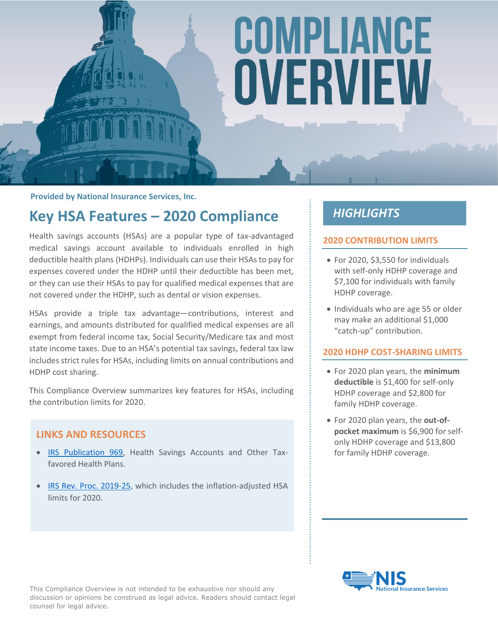# COMPLIANCE OVERVIEW

**Provided by National Insurance Services, Inc.**

# **Key HSA Features – 2020 Compliance**

Health savings accounts (HSAs) are a popular type of tax-advantaged medical savings account available to individuals enrolled in high deductible health plans (HDHPs). Individuals can use their HSAs to pay for expenses covered under the HDHP until their deductible has been met, or they can use their HSAs to pay for qualified medical expenses that are not covered under the HDHP, such as dental or vision expenses.

HSAs provide a triple tax advantage—contributions, interest and earnings, and amounts distributed for qualified medical expenses are all exempt from federal income tax, Social Security/Medicare tax and most state income taxes. Due to an HSA's potential tax savings, federal tax law includes strict rules for HSAs, including limits on annual contributions and HDHP cost sharing.

This Compliance Overview summarizes key features for HSAs, including the contribution limits for 2020.

#### **LINKS AND RESOURCES**

- [IRS Publication 969](https://www.irs.gov/publications/p969/), Health Savings Accounts and Other Taxfavored Health Plans.
- [IRS Rev. Proc. 2019-25,](https://www.irs.gov/irb/2019-22_IRB#REV-PROC-2019-25) which includes the inflation-adjusted HSA limits for 2020.

## **HIGHLIGHTS**

#### **2020 CONTRIBUTION LIMITS**

- For 2020, \$3,550 for individuals with self-only HDHP coverage and \$7,100 for individuals with family HDHP coverage.
- Individuals who are age 55 or older may make an additional \$1,000 "catch-up" contribution.

#### **2020 HDHP COST-SHARING LIMITS**

- For 2020 plan years, the **minimum deductible** is \$1,400 for self-only HDHP coverage and \$2,800 for family HDHP coverage.
- For 2020 plan years, the **out-ofpocket maximum** is \$6,900 for selfonly HDHP coverage and \$13,800 for family HDHP coverage.



This Compliance Overview is not intended to be exhaustive nor should any discussion or opinions be construed as legal advice. Readers should contact legal counsel for legal advice.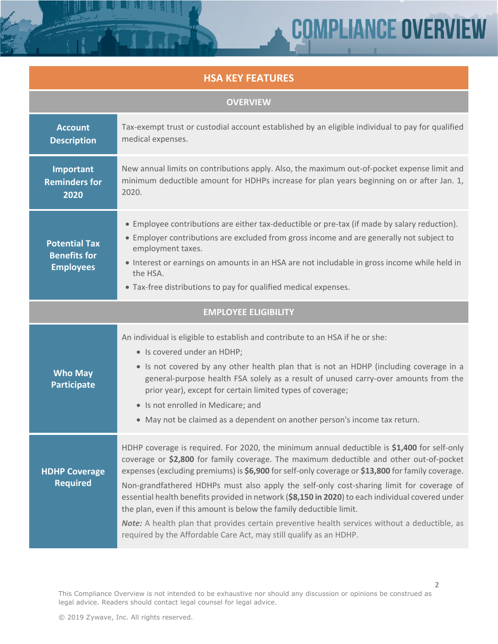# **COMPLIANCE OVERVIEW**

2

### **HSA KEY FEATURES**

| <b>OVERVIEW</b>                                                 |                                                                                                                                                                                                                                                                                                                                                                                                                                                                                                                                                                                                                                                                                                                                          |  |
|-----------------------------------------------------------------|------------------------------------------------------------------------------------------------------------------------------------------------------------------------------------------------------------------------------------------------------------------------------------------------------------------------------------------------------------------------------------------------------------------------------------------------------------------------------------------------------------------------------------------------------------------------------------------------------------------------------------------------------------------------------------------------------------------------------------------|--|
| <b>Account</b><br><b>Description</b>                            | Tax-exempt trust or custodial account established by an eligible individual to pay for qualified<br>medical expenses.                                                                                                                                                                                                                                                                                                                                                                                                                                                                                                                                                                                                                    |  |
| Important<br><b>Reminders for</b><br>2020                       | New annual limits on contributions apply. Also, the maximum out-of-pocket expense limit and<br>minimum deductible amount for HDHPs increase for plan years beginning on or after Jan. 1,<br>2020.                                                                                                                                                                                                                                                                                                                                                                                                                                                                                                                                        |  |
| <b>Potential Tax</b><br><b>Benefits for</b><br><b>Employees</b> | • Employee contributions are either tax-deductible or pre-tax (if made by salary reduction).<br>• Employer contributions are excluded from gross income and are generally not subject to<br>employment taxes.<br>• Interest or earnings on amounts in an HSA are not includable in gross income while held in<br>the HSA.<br>• Tax-free distributions to pay for qualified medical expenses.                                                                                                                                                                                                                                                                                                                                             |  |
| <b>EMPLOYEE ELIGIBILITY</b>                                     |                                                                                                                                                                                                                                                                                                                                                                                                                                                                                                                                                                                                                                                                                                                                          |  |
| <b>Who May</b><br>Participate                                   | An individual is eligible to establish and contribute to an HSA if he or she:<br>• Is covered under an HDHP;<br>• Is not covered by any other health plan that is not an HDHP (including coverage in a<br>general-purpose health FSA solely as a result of unused carry-over amounts from the<br>prior year), except for certain limited types of coverage;<br>• Is not enrolled in Medicare; and<br>• May not be claimed as a dependent on another person's income tax return.                                                                                                                                                                                                                                                          |  |
| <b>HDHP Coverage</b><br><b>Required</b>                         | HDHP coverage is required. For 2020, the minimum annual deductible is \$1,400 for self-only<br>coverage or \$2,800 for family coverage. The maximum deductible and other out-of-pocket<br>expenses (excluding premiums) is \$6,900 for self-only coverage or \$13,800 for family coverage.<br>Non-grandfathered HDHPs must also apply the self-only cost-sharing limit for coverage of<br>essential health benefits provided in network (\$8,150 in 2020) to each individual covered under<br>the plan, even if this amount is below the family deductible limit.<br>Note: A health plan that provides certain preventive health services without a deductible, as<br>required by the Affordable Care Act, may still qualify as an HDHP. |  |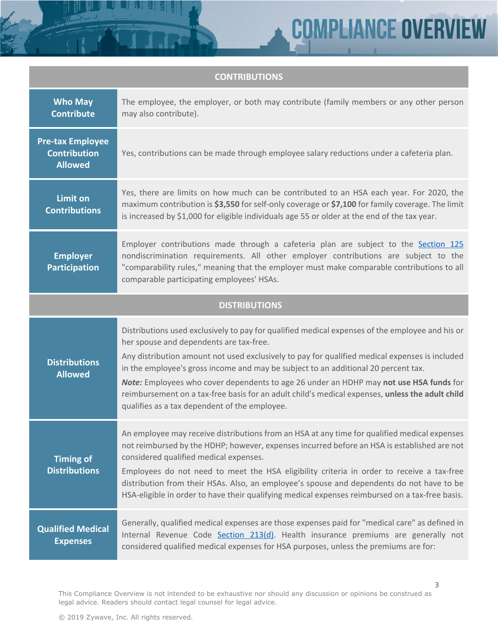**COMPLIANCE OVERVIEW** 

| <b>CONTRIBUTIONS</b>                                             |                                                                                                                                                                                                                                                                                                                                                                                                                                                                                                                                    |
|------------------------------------------------------------------|------------------------------------------------------------------------------------------------------------------------------------------------------------------------------------------------------------------------------------------------------------------------------------------------------------------------------------------------------------------------------------------------------------------------------------------------------------------------------------------------------------------------------------|
| <b>Who May</b><br><b>Contribute</b>                              | The employee, the employer, or both may contribute (family members or any other person<br>may also contribute).                                                                                                                                                                                                                                                                                                                                                                                                                    |
| <b>Pre-tax Employee</b><br><b>Contribution</b><br><b>Allowed</b> | Yes, contributions can be made through employee salary reductions under a cafeteria plan.                                                                                                                                                                                                                                                                                                                                                                                                                                          |
| <b>Limit on</b><br><b>Contributions</b>                          | Yes, there are limits on how much can be contributed to an HSA each year. For 2020, the<br>maximum contribution is \$3,550 for self-only coverage or \$7,100 for family coverage. The limit<br>is increased by \$1,000 for eligible individuals age 55 or older at the end of the tax year.                                                                                                                                                                                                                                        |
| <b>Employer</b><br><b>Participation</b>                          | Employer contributions made through a cafeteria plan are subject to the Section 125<br>nondiscrimination requirements. All other employer contributions are subject to the<br>"comparability rules," meaning that the employer must make comparable contributions to all<br>comparable participating employees' HSAs.                                                                                                                                                                                                              |
| <b>DISTRIBUTIONS</b>                                             |                                                                                                                                                                                                                                                                                                                                                                                                                                                                                                                                    |
| <b>Distributions</b><br><b>Allowed</b>                           | Distributions used exclusively to pay for qualified medical expenses of the employee and his or<br>her spouse and dependents are tax-free.<br>Any distribution amount not used exclusively to pay for qualified medical expenses is included<br>in the employee's gross income and may be subject to an additional 20 percent tax.                                                                                                                                                                                                 |
|                                                                  | Note: Employees who cover dependents to age 26 under an HDHP may not use HSA funds for<br>reimbursement on a tax-free basis for an adult child's medical expenses, unless the adult child<br>qualifies as a tax dependent of the employee.                                                                                                                                                                                                                                                                                         |
| <b>Timing of</b><br><b>Distributions</b>                         | An employee may receive distributions from an HSA at any time for qualified medical expenses<br>not reimbursed by the HDHP; however, expenses incurred before an HSA is established are not<br>considered qualified medical expenses.<br>Employees do not need to meet the HSA eligibility criteria in order to receive a tax-free<br>distribution from their HSAs. Also, an employee's spouse and dependents do not have to be<br>HSA-eligible in order to have their qualifying medical expenses reimbursed on a tax-free basis. |
| <b>Qualified Medical</b><br><b>Expenses</b>                      | Generally, qualified medical expenses are those expenses paid for "medical care" as defined in<br>Internal Revenue Code Section 213(d). Health insurance premiums are generally not<br>considered qualified medical expenses for HSA purposes, unless the premiums are for:                                                                                                                                                                                                                                                        |

This Compliance Overview is not intended to be exhaustive nor should any discussion or opinions be construed as legal advice. Readers should contact legal counsel for legal advice.